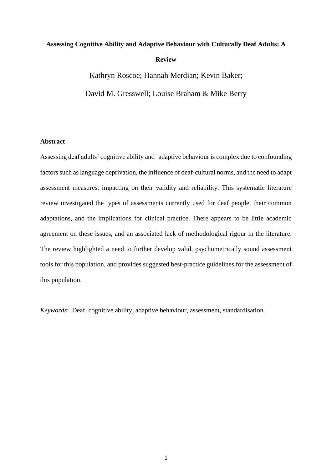# **Assessing Cognitive Ability and Adaptive Behaviour with Culturally Deaf Adults: A Review**

Kathryn Roscoe; Hannah Merdian; Kevin Baker; David M. Gresswell; Louise Braham & Mike Berry

# **Abstract**

Assessing deaf adults' cognitive ability and adaptive behaviour is complex due to confounding factors such as language deprivation, the influence of deaf-cultural norms, and the need to adapt assessment measures, impacting on their validity and reliability. This systematic literature review investigated the types of assessments currently used for deaf people, their common adaptations, and the implications for clinical practice. There appears to be little academic agreement on these issues, and an associated lack of methodological rigour in the literature. The review highlighted a need to further develop valid, psychometrically sound assessment tools for this population, and provides suggested best-practice guidelines for the assessment of this population.

*Keywords*: Deaf, cognitive ability, adaptive behaviour, assessment, standardisation.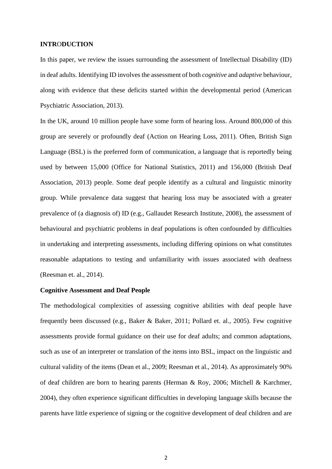#### **INTR**O**DUCTION**

In this paper, we review the issues surrounding the assessment of Intellectual Disability (ID) in deaf adults. Identifying ID involves the assessment of both *cognitive* and *adaptive* behaviour, along with evidence that these deficits started within the developmental period (American Psychiatric Association, 2013).

In the UK, around 10 million people have some form of hearing loss. Around 800,000 of this group are severely or profoundly deaf (Action on Hearing Loss, 2011). Often, British Sign Language (BSL) is the preferred form of communication, a language that is reportedly being used by between 15,000 (Office for National Statistics, 2011) and 156,000 (British Deaf Association, 2013) people. Some deaf people identify as a cultural and linguistic minority group. While prevalence data suggest that hearing loss may be associated with a greater prevalence of (a diagnosis of) ID (e.g., Gallaudet Research Institute, 2008), the assessment of behavioural and psychiatric problems in deaf populations is often confounded by difficulties in undertaking and interpreting assessments, including differing opinions on what constitutes reasonable adaptations to testing and unfamiliarity with issues associated with deafness (Reesman et. al., 2014).

#### **Cognitive Assessment and Deaf People**

The methodological complexities of assessing cognitive abilities with deaf people have frequently been discussed (e.g., Baker & Baker, 2011; Pollard et. al., 2005). Few cognitive assessments provide formal guidance on their use for deaf adults; and common adaptations, such as use of an interpreter or translation of the items into BSL, impact on the linguistic and cultural validity of the items (Dean et al., 2009; Reesman et al., 2014). As approximately 90% of deaf children are born to hearing parents (Herman & Roy, 2006; Mitchell & Karchmer, 2004), they often experience significant difficulties in developing language skills because the parents have little experience of signing or the cognitive development of deaf children and are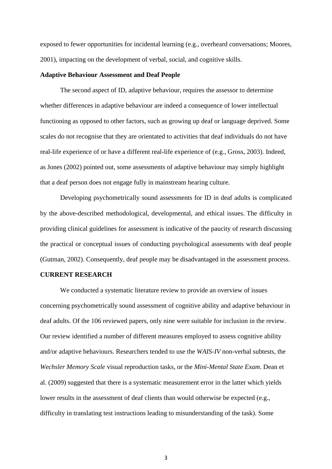exposed to fewer opportunities for incidental learning (e.g., overheard conversations; Moores, 2001), impacting on the development of verbal, social, and cognitive skills.

# **Adaptive Behaviour Assessment and Deaf People**

The second aspect of ID, adaptive behaviour, requires the assessor to determine whether differences in adaptive behaviour are indeed a consequence of lower intellectual functioning as opposed to other factors, such as growing up deaf or language deprived. Some scales do not recognise that they are orientated to activities that deaf individuals do not have real-life experience of or have a different real-life experience of (e.g., Gross, 2003). Indeed, as Jones (2002) pointed out, some assessments of adaptive behaviour may simply highlight that a deaf person does not engage fully in mainstream hearing culture.

Developing psychometrically sound assessments for ID in deaf adults is complicated by the above-described methodological, developmental, and ethical issues. The difficulty in providing clinical guidelines for assessment is indicative of the paucity of research discussing the practical or conceptual issues of conducting psychological assessments with deaf people (Gutman, 2002). Consequently, deaf people may be disadvantaged in the assessment process.

## **CURRENT RESEARCH**

We conducted a systematic literature review to provide an overview of issues concerning psychometrically sound assessment of cognitive ability and adaptive behaviour in deaf adults. Of the 106 reviewed papers, only nine were suitable for inclusion in the review. Our review identified a number of different measures employed to assess cognitive ability and/or adaptive behaviours. Researchers tended to use the *WAIS-IV* non-verbal subtests, the *Wechsler Memory Scale* visual reproduction tasks, or the *Mini-Mental State Exam*. Dean et al. (2009) suggested that there is a systematic measurement error in the latter which yields lower results in the assessment of deaf clients than would otherwise be expected (e.g., difficulty in translating test instructions leading to misunderstanding of the task). Some

3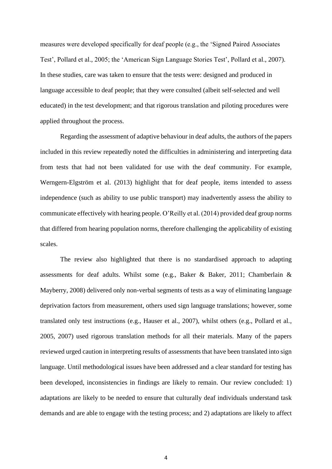measures were developed specifically for deaf people (e.g., the 'Signed Paired Associates Test', Pollard et al., 2005; the 'American Sign Language Stories Test', Pollard et al., 2007). In these studies, care was taken to ensure that the tests were: designed and produced in language accessible to deaf people; that they were consulted (albeit self-selected and well educated) in the test development; and that rigorous translation and piloting procedures were applied throughout the process.

Regarding the assessment of adaptive behaviour in deaf adults, the authors of the papers included in this review repeatedly noted the difficulties in administering and interpreting data from tests that had not been validated for use with the deaf community. For example, Werngern-Elgström et al. (2013) highlight that for deaf people, items intended to assess independence (such as ability to use public transport) may inadvertently assess the ability to communicate effectively with hearing people. O'Reilly et al. (2014) provided deaf group norms that differed from hearing population norms, therefore challenging the applicability of existing scales.

The review also highlighted that there is no standardised approach to adapting assessments for deaf adults. Whilst some (e.g., Baker & Baker, 2011; Chamberlain & Mayberry, 2008) delivered only non-verbal segments of tests as a way of eliminating language deprivation factors from measurement, others used sign language translations; however, some translated only test instructions (e.g., Hauser et al., 2007), whilst others (e.g., Pollard et al., 2005, 2007) used rigorous translation methods for all their materials. Many of the papers reviewed urged caution in interpreting results of assessments that have been translated into sign language. Until methodological issues have been addressed and a clear standard for testing has been developed, inconsistencies in findings are likely to remain. Our review concluded: 1) adaptations are likely to be needed to ensure that culturally deaf individuals understand task demands and are able to engage with the testing process; and 2) adaptations are likely to affect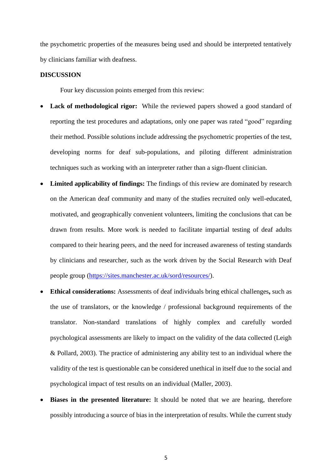the psychometric properties of the measures being used and should be interpreted tentatively by clinicians familiar with deafness.

#### **DISCUSSION**

Four key discussion points emerged from this review:

- **Lack of methodological rigor:** While the reviewed papers showed a good standard of reporting the test procedures and adaptations, only one paper was rated "good" regarding their method. Possible solutions include addressing the psychometric properties of the test, developing norms for deaf sub-populations, and piloting different administration techniques such as working with an interpreter rather than a sign-fluent clinician.
- **Limited applicability of findings:** The findings of this review are dominated by research on the American deaf community and many of the studies recruited only well-educated, motivated, and geographically convenient volunteers, limiting the conclusions that can be drawn from results. More work is needed to facilitate impartial testing of deaf adults compared to their hearing peers, and the need for increased awareness of testing standards by clinicians and researcher, such as the work driven by the Social Research with Deaf people group [\(https://sites.manchester.ac.uk/sord/resources/\)](https://sites.manchester.ac.uk/sord/resources/).
- **Ethical considerations:** Assessments of deaf individuals bring ethical challenges**,** such as the use of translators, or the knowledge / professional background requirements of the translator. Non-standard translations of highly complex and carefully worded psychological assessments are likely to impact on the validity of the data collected (Leigh & Pollard, 2003). The practice of administering any ability test to an individual where the validity of the test is questionable can be considered unethical in itself due to the social and psychological impact of test results on an individual (Maller, 2003).
- **Biases in the presented literature:** It should be noted that we are hearing, therefore possibly introducing a source of bias in the interpretation of results. While the current study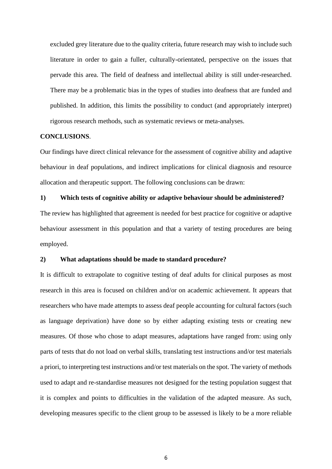excluded grey literature due to the quality criteria, future research may wish to include such literature in order to gain a fuller, culturally-orientated, perspective on the issues that pervade this area. The field of deafness and intellectual ability is still under-researched. There may be a problematic bias in the types of studies into deafness that are funded and published. In addition, this limits the possibility to conduct (and appropriately interpret) rigorous research methods, such as systematic reviews or meta-analyses.

## **CONCLUSIONS**.

Our findings have direct clinical relevance for the assessment of cognitive ability and adaptive behaviour in deaf populations, and indirect implications for clinical diagnosis and resource allocation and therapeutic support. The following conclusions can be drawn:

**1) Which tests of cognitive ability or adaptive behaviour should be administered?** The review has highlighted that agreement is needed for best practice for cognitive or adaptive behaviour assessment in this population and that a variety of testing procedures are being employed.

## **2) What adaptations should be made to standard procedure?**

It is difficult to extrapolate to cognitive testing of deaf adults for clinical purposes as most research in this area is focused on children and/or on academic achievement. It appears that researchers who have made attempts to assess deaf people accounting for cultural factors (such as language deprivation) have done so by either adapting existing tests or creating new measures. Of those who chose to adapt measures, adaptations have ranged from: using only parts of tests that do not load on verbal skills, translating test instructions and/or test materials a priori, to interpreting test instructions and/or test materials on the spot. The variety of methods used to adapt and re-standardise measures not designed for the testing population suggest that it is complex and points to difficulties in the validation of the adapted measure. As such, developing measures specific to the client group to be assessed is likely to be a more reliable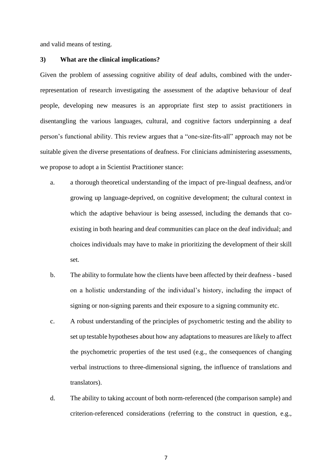and valid means of testing.

#### **3) What are the clinical implications?**

Given the problem of assessing cognitive ability of deaf adults, combined with the underrepresentation of research investigating the assessment of the adaptive behaviour of deaf people, developing new measures is an appropriate first step to assist practitioners in disentangling the various languages, cultural, and cognitive factors underpinning a deaf person's functional ability. This review argues that a "one-size-fits-all" approach may not be suitable given the diverse presentations of deafness. For clinicians administering assessments, we propose to adopt a in Scientist Practitioner stance:

- a. a thorough theoretical understanding of the impact of pre-lingual deafness, and/or growing up language-deprived, on cognitive development; the cultural context in which the adaptive behaviour is being assessed, including the demands that coexisting in both hearing and deaf communities can place on the deaf individual; and choices individuals may have to make in prioritizing the development of their skill set.
- b. The ability to formulate how the clients have been affected by their deafness based on a holistic understanding of the individual's history, including the impact of signing or non-signing parents and their exposure to a signing community etc.
- c. A robust understanding of the principles of psychometric testing and the ability to set up testable hypotheses about how any adaptations to measures are likely to affect the psychometric properties of the test used (e.g., the consequences of changing verbal instructions to three-dimensional signing, the influence of translations and translators).
- d. The ability to taking account of both norm-referenced (the comparison sample) and criterion-referenced considerations (referring to the construct in question, e.g.,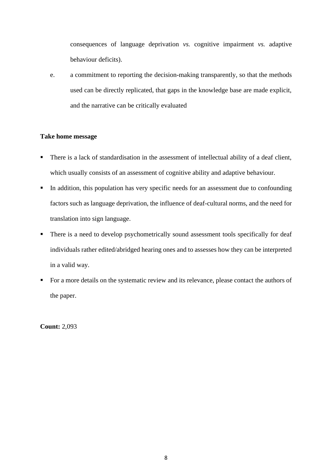consequences of language deprivation *vs.* cognitive impairment *vs.* adaptive behaviour deficits).

e. a commitment to reporting the decision-making transparently, so that the methods used can be directly replicated, that gaps in the knowledge base are made explicit, and the narrative can be critically evaluated

# **Take home message**

- There is a lack of standardisation in the assessment of intellectual ability of a deaf client, which usually consists of an assessment of cognitive ability and adaptive behaviour.
- In addition, this population has very specific needs for an assessment due to confounding factors such as language deprivation, the influence of deaf-cultural norms, and the need for translation into sign language.
- There is a need to develop psychometrically sound assessment tools specifically for deaf individuals rather edited/abridged hearing ones and to assesses how they can be interpreted in a valid way.
- For a more details on the systematic review and its relevance, please contact the authors of the paper.

**Count:** 2,093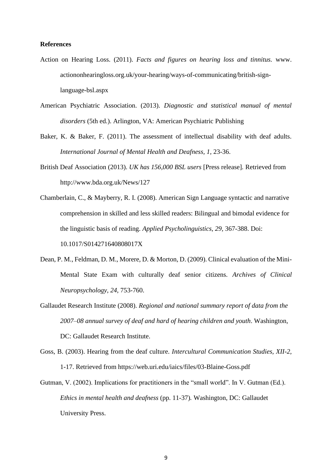## **References**

- Action on Hearing Loss. (2011). *Facts and figures on hearing loss and tinnitus.* www. actiononhearingloss.org.uk/your-hearing/ways-of-communicating/british-signlanguage-bsl.aspx
- American Psychiatric Association. (2013). *Diagnostic and statistical manual of mental disorders* (5th ed.). Arlington, VA: American Psychiatric Publishing
- Baker, K. & Baker, F. (2011). The assessment of intellectual disability with deaf adults. *International Journal of Mental Health and Deafness, 1,* 23-36.
- British Deaf Association (2013). *UK has 156,000 BSL users* [Press release]*.* Retrieved from http://www.bda.org.uk/News/127
- Chamberlain, C., & Mayberry, R. I. (2008). American Sign Language syntactic and narrative comprehension in skilled and less skilled readers: Bilingual and bimodal evidence for the linguistic basis of reading. *Applied Psycholinguistics, 29,* 367-388. Doi: [10.1017/S014271640808017X](https://doi.org/10.1017/S014271640808017X)
- Dean, P. M., Feldman, D. M., Morere, D. & Morton, D. (2009). Clinical evaluation of the Mini-Mental State Exam with culturally deaf senior citizens. *Archives of Clinical Neuropsychology, 24,* 753-760.
- Gallaudet Research Institute (2008). *Regional and national summary report of data from the 2007–08 annual survey of deaf and hard of hearing children and youth*. Washington, DC: Gallaudet Research Institute.
- Goss, B. (2003). Hearing from the deaf culture. *Intercultural Communication Studies, XII-2,*  1-17. Retrieved from https://web.uri.edu/iaics/files/03-Blaine-Goss.pdf
- Gutman, V. (2002). Implications for practitioners in the "small world". In V. Gutman (Ed.). *Ethics in mental health and deafness* (pp. 11-37)*.* Washington, DC: Gallaudet University Press.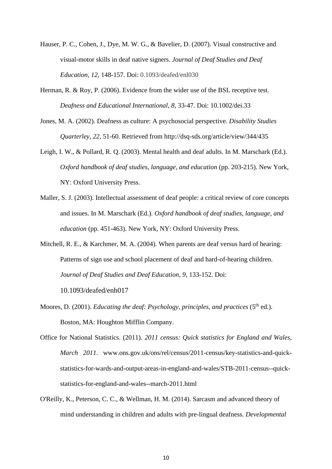- Hauser, P. C., Cohen, J., Dye, M. W. G., & Bavelier, D. (2007). Visual constructive and visual-motor skills in deaf native signers. *Journal of Deaf Studies and Deaf Education, 12,* 148-157. Doi: [0.1093/deafed/enl030](https://doi.org/10.1093/deafed/enl030)
- Herman, R. & Roy, P. (2006). Evidence from the wider use of the BSL receptive test. *Deafness and Educational International, 8,* 33-47. Doi: [10.1002/dei.33](http://doi.org/10.1002/dei.33)
- Jones, M. A. (2002). Deafness as culture: A psychosocial perspective. *Disability Studies Quarterley, 22,* 51-60. Retrieved from http://dsq-sds.org/article/view/344/435
- Leigh, I. W., & Pollard, R. Q. (2003). Mental health and deaf adults. In M. Marschark (Ed.). *Oxford handbook of deaf studies, language, and education* (pp. 203-215). New York, NY: Oxford University Press.
- Maller, S. J. (2003). Intellectual assessment of deaf people: a critical review of core concepts and issues. In M. Marschark (Ed.). *Oxford handbook of deaf studies, language, and education* (pp. 451-463). New York, NY: Oxford University Press.
- Mitchell, R. E., & Karchmer, M. A. (2004). When parents are deaf versus hard of hearing: Patterns of sign use and school placement of deaf and hard-of-hearing children. *Journal of Deaf Studies and Deaf Education, 9,* 133-152. Doi:

10.1093/deafed/enh017

- Moores, D. (2001). *Educating the deaf: Psychology, principles, and practices* (5<sup>th</sup> ed.). Boston, MA: Houghton Mifflin Company.
- Office for National Statistics. (2011). *2011 census: Quick statistics for England and Wales, March 2011.* www.ons.gov.uk/ons/rel/census/2011-census/key-statistics-and-quickstatistics-for-wards-and-output-areas-in-england-and-wales/STB-2011-census--quickstatistics-for-england-and-wales--march-2011.html
- O'Reilly, K., Peterson, C. C., & Wellman, H. M. (2014). Sarcasm and advanced theory of mind understanding in children and adults with pre-lingual deafness. *Developmental*